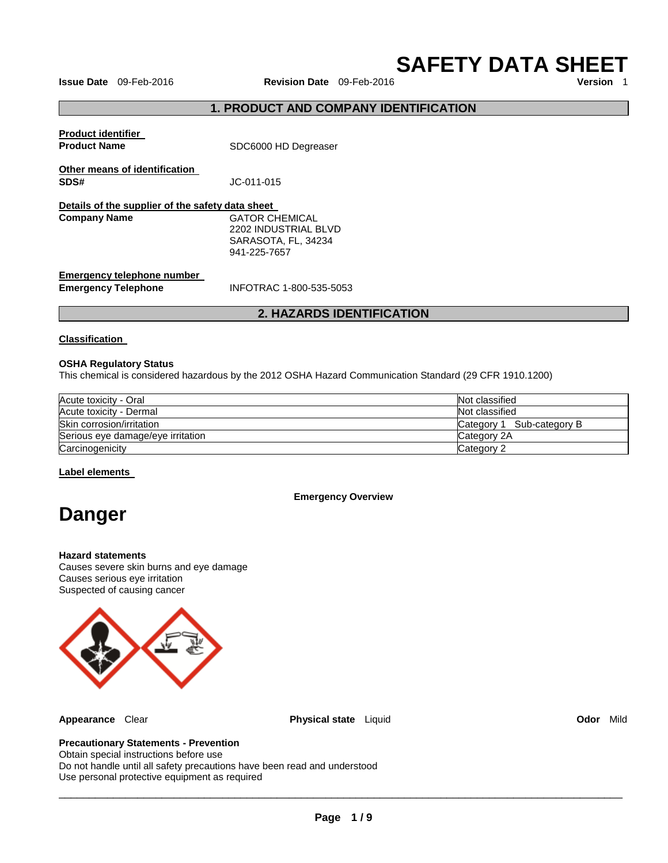**SAFETY DATA SHEET** 

**Issue Date** 09-Feb-2016 **Revision Date** 09-Feb-2016

# **1. PRODUCT AND COMPANY IDENTIFICATION**

| <b>Product identifier</b><br><b>Product Name</b>                        | SDC6000 HD Degreaser                                                          |
|-------------------------------------------------------------------------|-------------------------------------------------------------------------------|
| Other means of identification<br>SDS#                                   | JC-011-015                                                                    |
| Details of the supplier of the safety data sheet<br><b>Company Name</b> | GATOR CHEMICAL<br>2202 INDUSTRIAL BLVD<br>SARASOTA, FL, 34234<br>941-225-7657 |
| Emergency telephone number<br><b>Emergency Telephone</b>                | INFOTRAC 1-800-535-5053                                                       |

# **2. HAZARDS IDENTIFICATION**

### **Classification**

### **OSHA Regulatory Status**

This chemical is considered hazardous by the 2012 OSHA Hazard Communication Standard (29 CFR 1910.1200)

| Acute toxicity - Oral             | Not classified            |
|-----------------------------------|---------------------------|
| Acute toxicity - Dermal           | Not classified            |
| Skin corrosion/irritation         | Category 1 Sub-category B |
| Serious eye damage/eye irritation | Category 2A               |
| Carcinogenicity                   | Category 2                |

### **Label elements**

### **Emergency Overview**

# **Danger**

#### **Hazard statements**

Causes severe skin burns and eye damage Causes serious eye irritation Suspected of causing cancer



**Appearance** Clear **Physical state** Liquid **Odor** Mild

# **Precautionary Statements - Prevention**

Obtain special instructions before use Do not handle until all safety precautions have been read and understood Use personal protective equipment as required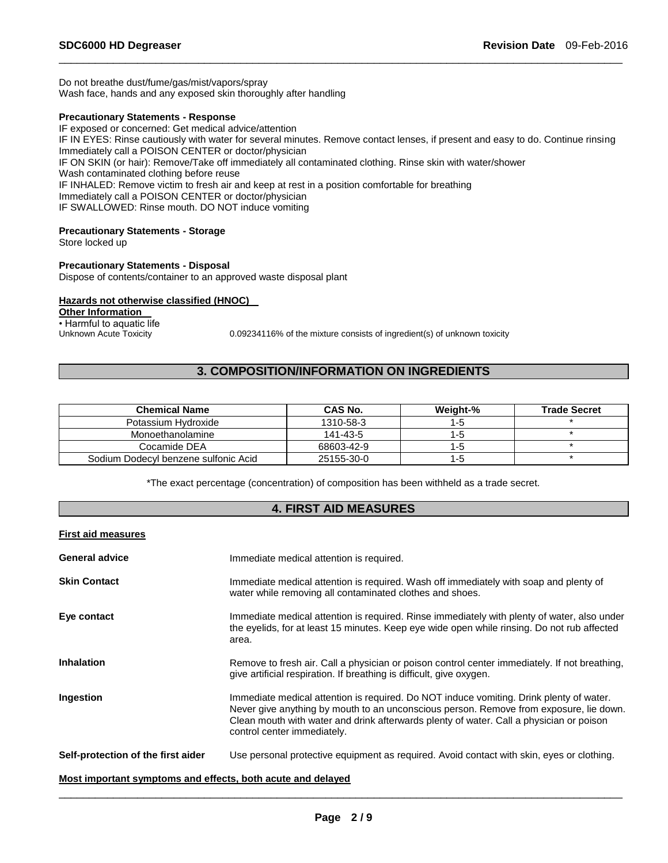Do not breathe dust/fume/gas/mist/vapors/spray Wash face, hands and any exposed skin thoroughly after handling

### **Precautionary Statements - Response**

IF exposed or concerned: Get medical advice/attention IF IN EYES: Rinse cautiously with water for several minutes. Remove contact lenses, if present and easy to do. Continue rinsing Immediately call a POISON CENTER or doctor/physician IF ON SKIN (or hair): Remove/Take off immediately all contaminated clothing. Rinse skin with water/shower Wash contaminated clothing before reuse IF INHALED: Remove victim to fresh air and keep at rest in a position comfortable for breathing Immediately call a POISON CENTER or doctor/physician IF SWALLOWED: Rinse mouth. DO NOT induce vomiting

\_\_\_\_\_\_\_\_\_\_\_\_\_\_\_\_\_\_\_\_\_\_\_\_\_\_\_\_\_\_\_\_\_\_\_\_\_\_\_\_\_\_\_\_\_\_\_\_\_\_\_\_\_\_\_\_\_\_\_\_\_\_\_\_\_\_\_\_\_\_\_\_\_\_\_\_\_\_\_\_\_\_\_\_\_\_\_\_\_\_\_\_\_

# **Precautionary Statements - Storage**

Store locked up

### **Precautionary Statements - Disposal**

Dispose of contents/container to an approved waste disposal plant

# **Hazards not otherwise classified (HNOC)**

**Other Information**  • Harmful to aquatic life<br>Unknown Acute Toxicity

0.09234116% of the mixture consists of ingredient(s) of unknown toxicity

# **3. COMPOSITION/INFORMATION ON INGREDIENTS**

| <b>Chemical Name</b>                 | <b>CAS No.</b> | Weight-% | <b>Trade Secret</b> |
|--------------------------------------|----------------|----------|---------------------|
| Potassium Hydroxide                  | 1310-58-3      | $1 - 5$  |                     |
| Monoethanolamine                     | 141-43-5       | $1 - 5$  |                     |
| Cocamide DEA                         | 68603-42-9     | $1 - 5$  |                     |
| Sodium Dodecyl benzene sulfonic Acid | 25155-30-0     | 1-5      |                     |

\*The exact percentage (concentration) of composition has been withheld as a trade secret.

# **4. FIRST AID MEASURES**

### **First aid measures**

| <b>General advice</b>              | Immediate medical attention is required.                                                                                                                                                                                                                                                                    |
|------------------------------------|-------------------------------------------------------------------------------------------------------------------------------------------------------------------------------------------------------------------------------------------------------------------------------------------------------------|
| <b>Skin Contact</b>                | Immediate medical attention is required. Wash off immediately with soap and plenty of<br>water while removing all contaminated clothes and shoes.                                                                                                                                                           |
| Eye contact                        | Immediate medical attention is required. Rinse immediately with plenty of water, also under<br>the eyelids, for at least 15 minutes. Keep eye wide open while rinsing. Do not rub affected<br>area.                                                                                                         |
| <b>Inhalation</b>                  | Remove to fresh air. Call a physician or poison control center immediately. If not breathing,<br>give artificial respiration. If breathing is difficult, give oxygen.                                                                                                                                       |
| Ingestion                          | Immediate medical attention is required. Do NOT induce vomiting. Drink plenty of water.<br>Never give anything by mouth to an unconscious person. Remove from exposure, lie down.<br>Clean mouth with water and drink afterwards plenty of water. Call a physician or poison<br>control center immediately. |
| Self-protection of the first aider | Use personal protective equipment as required. Avoid contact with skin, eyes or clothing.                                                                                                                                                                                                                   |

### **Most important symptoms and effects, both acute and delayed**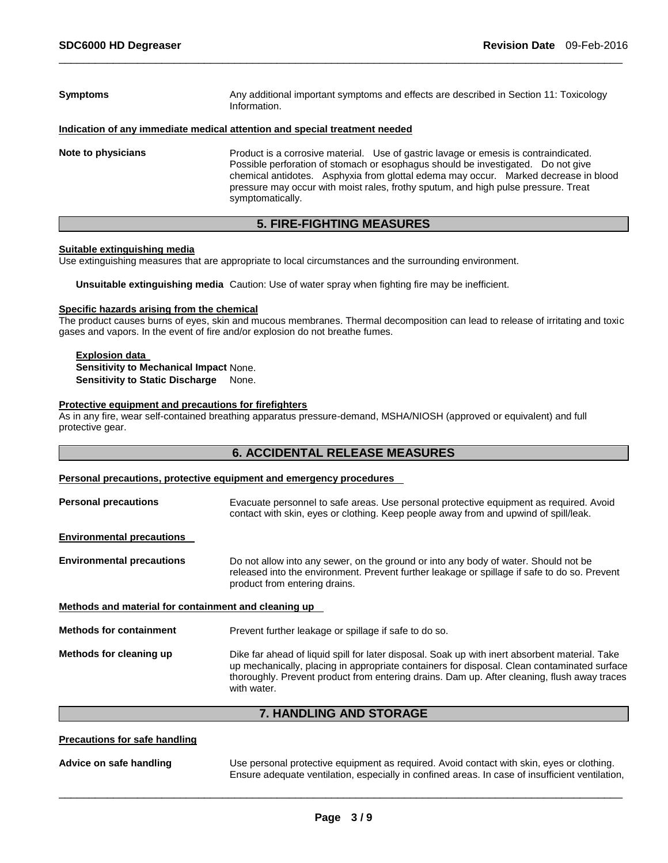| <b>Symptoms</b>    | Any additional important symptoms and effects are described in Section 11: Toxicology<br>Information.                                                                                                                                                                                                                                                                     |
|--------------------|---------------------------------------------------------------------------------------------------------------------------------------------------------------------------------------------------------------------------------------------------------------------------------------------------------------------------------------------------------------------------|
|                    | Indication of any immediate medical attention and special treatment needed                                                                                                                                                                                                                                                                                                |
| Note to physicians | Product is a corrosive material. Use of gastric lavage or emesis is contraindicated.<br>Possible perforation of stomach or esophagus should be investigated. Do not give<br>chemical antidotes. Asphyxia from glottal edema may occur. Marked decrease in blood<br>pressure may occur with moist rales, frothy sputum, and high pulse pressure. Treat<br>symptomatically. |

# **5. FIRE-FIGHTING MEASURES**

### **Suitable extinguishing media**

Use extinguishing measures that are appropriate to local circumstances and the surrounding environment.

**Unsuitable extinguishing media** Caution: Use of water spray when fighting fire may be inefficient.

### **Specific hazards arising from the chemical**

The product causes burns of eyes, skin and mucous membranes. Thermal decomposition can lead to release of irritating and toxic gases and vapors. In the event of fire and/or explosion do not breathe fumes.

### **Explosion data Sensitivity to Mechanical Impact** None. **Sensitivity to Static Discharge None.**

### **Protective equipment and precautions for firefighters**

As in any fire, wear self-contained breathing apparatus pressure-demand, MSHA/NIOSH (approved or equivalent) and full protective gear.

# **6. ACCIDENTAL RELEASE MEASURES**

### **Personal precautions, protective equipment and emergency procedures**

| <b>Personal precautions</b>                          | Evacuate personnel to safe areas. Use personal protective equipment as required. Avoid<br>contact with skin, eyes or clothing. Keep people away from and upwind of spill/leak.                                                                                                                              |
|------------------------------------------------------|-------------------------------------------------------------------------------------------------------------------------------------------------------------------------------------------------------------------------------------------------------------------------------------------------------------|
| <b>Environmental precautions</b>                     |                                                                                                                                                                                                                                                                                                             |
| <b>Environmental precautions</b>                     | Do not allow into any sewer, on the ground or into any body of water. Should not be<br>released into the environment. Prevent further leakage or spillage if safe to do so. Prevent<br>product from entering drains.                                                                                        |
| Methods and material for containment and cleaning up |                                                                                                                                                                                                                                                                                                             |
| <b>Methods for containment</b>                       | Prevent further leakage or spillage if safe to do so.                                                                                                                                                                                                                                                       |
| Methods for cleaning up                              | Dike far ahead of liquid spill for later disposal. Soak up with inert absorbent material. Take<br>up mechanically, placing in appropriate containers for disposal. Clean contaminated surface<br>thoroughly. Prevent product from entering drains. Dam up. After cleaning, flush away traces<br>with water. |

# **7. HANDLING AND STORAGE**

### **Precautions for safe handling**

**Advice on safe handling** Use personal protective equipment as required. Avoid contact with skin, eyes or clothing. Ensure adequate ventilation, especially in confined areas. In case of insufficient ventilation,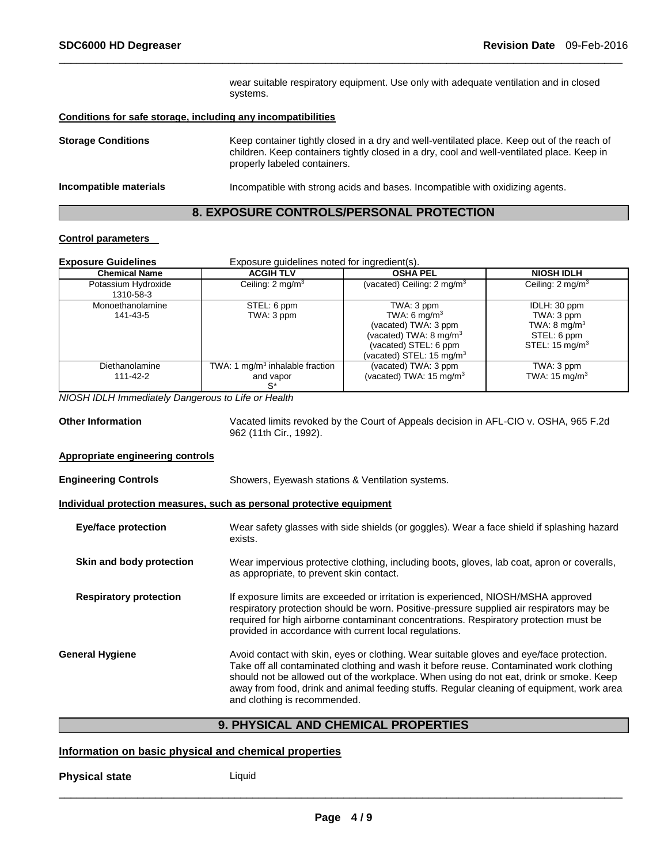wear suitable respiratory equipment. Use only with adequate ventilation and in closed systems.

### **Conditions for safe storage, including any incompatibilities**

**Storage Conditions** Keep container tightly closed in a dry and well-ventilated place. Keep out of the reach of children. Keep containers tightly closed in a dry, cool and well-ventilated place. Keep in properly labeled containers. **Incompatible materials** Incompatible with strong acids and bases. Incompatible with oxidizing agents.

\_\_\_\_\_\_\_\_\_\_\_\_\_\_\_\_\_\_\_\_\_\_\_\_\_\_\_\_\_\_\_\_\_\_\_\_\_\_\_\_\_\_\_\_\_\_\_\_\_\_\_\_\_\_\_\_\_\_\_\_\_\_\_\_\_\_\_\_\_\_\_\_\_\_\_\_\_\_\_\_\_\_\_\_\_\_\_\_\_\_\_\_\_

### **8. EXPOSURE CONTROLS/PERSONAL PROTECTION**

### **Control parameters**

| <b>Exposure Guidelines</b><br>Exposure quidelines noted for ingredient(s). |                                                         |                                                                                                                                                    |                                                                                                   |
|----------------------------------------------------------------------------|---------------------------------------------------------|----------------------------------------------------------------------------------------------------------------------------------------------------|---------------------------------------------------------------------------------------------------|
| <b>Chemical Name</b>                                                       | <b>ACGIH TLV</b>                                        | <b>OSHA PEL</b>                                                                                                                                    | <b>NIOSH IDLH</b>                                                                                 |
| Potassium Hydroxide<br>1310-58-3                                           | Ceiling: $2 \text{ mg/m}^3$                             | (vacated) Ceiling: $2 \text{ mg/m}^3$                                                                                                              | Ceiling: $2 \text{ mg/m}^3$                                                                       |
| Monoethanolamine<br>141-43-5                                               | STEL: 6 ppm<br>TWA: 3 ppm                               | TWA: 3 ppm<br>TWA: 6 mg/m $3$<br>(vacated) TWA: 3 ppm<br>(vacated) TWA: $8 \text{ mg/m}^3$<br>(vacated) STEL: 6 ppm<br>(vacated) STEL: 15 mg/m $3$ | IDLH: 30 ppm<br>TWA: 3 ppm<br>TWA: $8 \text{ mg/m}^3$<br>STEL: 6 ppm<br>STEL: $15 \text{ mg/m}^3$ |
| Diethanolamine<br>111-42-2                                                 | TWA: 1 $mg/m3$ inhalable fraction<br>and vapor<br>$S^*$ | (vacated) TWA: 3 ppm<br>(vacated) TWA: 15 mg/m $3$                                                                                                 | TWA: 3 ppm<br>TWA: $15 \text{ mg/m}^3$                                                            |

*NIOSH IDLH Immediately Dangerous to Life or Health* 

**Other Information** Vacated limits revoked by the Court of Appeals decision in AFL-CIO v. OSHA, 965 F.2d 962 (11th Cir., 1992).

## **Appropriate engineering controls**

**Engineering Controls** Showers, Eyewash stations & Ventilation systems.

**Individual protection measures, such as personal protective equipment**

| <b>Eye/face protection</b>    | Wear safety glasses with side shields (or goggles). Wear a face shield if splashing hazard<br>exists.                                                                                                                                                                                                                                                                                                       |
|-------------------------------|-------------------------------------------------------------------------------------------------------------------------------------------------------------------------------------------------------------------------------------------------------------------------------------------------------------------------------------------------------------------------------------------------------------|
| Skin and body protection      | Wear impervious protective clothing, including boots, gloves, lab coat, apron or coveralls,<br>as appropriate, to prevent skin contact.                                                                                                                                                                                                                                                                     |
| <b>Respiratory protection</b> | If exposure limits are exceeded or irritation is experienced, NIOSH/MSHA approved<br>respiratory protection should be worn. Positive-pressure supplied air respirators may be<br>required for high airborne contaminant concentrations. Respiratory protection must be<br>provided in accordance with current local regulations.                                                                            |
| <b>General Hygiene</b>        | Avoid contact with skin, eyes or clothing. Wear suitable gloves and eye/face protection.<br>Take off all contaminated clothing and wash it before reuse. Contaminated work clothing<br>should not be allowed out of the workplace. When using do not eat, drink or smoke. Keep<br>away from food, drink and animal feeding stuffs. Regular cleaning of equipment, work area<br>and clothing is recommended. |

# **9. PHYSICAL AND CHEMICAL PROPERTIES**

### **Information on basic physical and chemical properties**

**Physical state** Liquid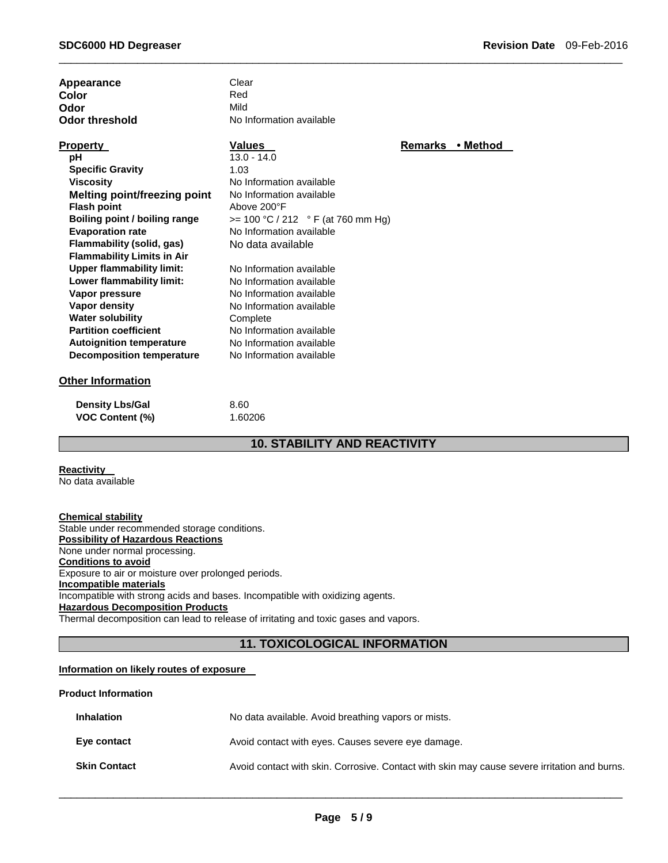| Appearance                          | Clear                               |                |          |
|-------------------------------------|-------------------------------------|----------------|----------|
| Color                               | Red                                 |                |          |
| Odor                                | Mild                                |                |          |
| <b>Odor threshold</b>               | No Information available            |                |          |
| <b>Property</b>                     | <b>Values</b>                       | <b>Remarks</b> | • Method |
| рH                                  | $13.0 - 14.0$                       |                |          |
| <b>Specific Gravity</b>             | 1.03                                |                |          |
| <b>Viscosity</b>                    | No Information available            |                |          |
| <b>Melting point/freezing point</b> | No Information available            |                |          |
| <b>Flash point</b>                  | Above 200°F                         |                |          |
| Boiling point / boiling range       | $>= 100 °C / 212 °F$ (at 760 mm Hg) |                |          |
| <b>Evaporation rate</b>             | No Information available            |                |          |
| Flammability (solid, gas)           | No data available                   |                |          |
| <b>Flammability Limits in Air</b>   |                                     |                |          |
| <b>Upper flammability limit:</b>    | No Information available            |                |          |
| Lower flammability limit:           | No Information available            |                |          |
| Vapor pressure                      | No Information available            |                |          |
| <b>Vapor density</b>                | No Information available            |                |          |
| <b>Water solubility</b>             | Complete                            |                |          |
| <b>Partition coefficient</b>        | No Information available            |                |          |
| <b>Autoignition temperature</b>     | No Information available            |                |          |
| <b>Decomposition temperature</b>    | No Information available            |                |          |
| Other Information                   |                                     |                |          |

### **Other Information**

| <b>Density Lbs/Gal</b> | 8.60    |
|------------------------|---------|
| <b>VOC Content (%)</b> | 1.60206 |

# **10. STABILITY AND REACTIVITY**

\_\_\_\_\_\_\_\_\_\_\_\_\_\_\_\_\_\_\_\_\_\_\_\_\_\_\_\_\_\_\_\_\_\_\_\_\_\_\_\_\_\_\_\_\_\_\_\_\_\_\_\_\_\_\_\_\_\_\_\_\_\_\_\_\_\_\_\_\_\_\_\_\_\_\_\_\_\_\_\_\_\_\_\_\_\_\_\_\_\_\_\_\_

# **Reactivity**

No data available

**Chemical stability** Stable under recommended storage conditions. **Possibility of Hazardous Reactions** None under normal processing. **Conditions to avoid** Exposure to air or moisture over prolonged periods. **Incompatible materials** Incompatible with strong acids and bases. Incompatible with oxidizing agents. **Hazardous Decomposition Products** Thermal decomposition can lead to release of irritating and toxic gases and vapors.

# **11. TOXICOLOGICAL INFORMATION**

### **Information on likely routes of exposure**

#### **Product Information**

| <b>Inhalation</b>   | No data available. Avoid breathing vapors or mists.                                          |
|---------------------|----------------------------------------------------------------------------------------------|
| Eye contact         | Avoid contact with eyes. Causes severe eye damage.                                           |
| <b>Skin Contact</b> | Avoid contact with skin. Corrosive. Contact with skin may cause severe irritation and burns. |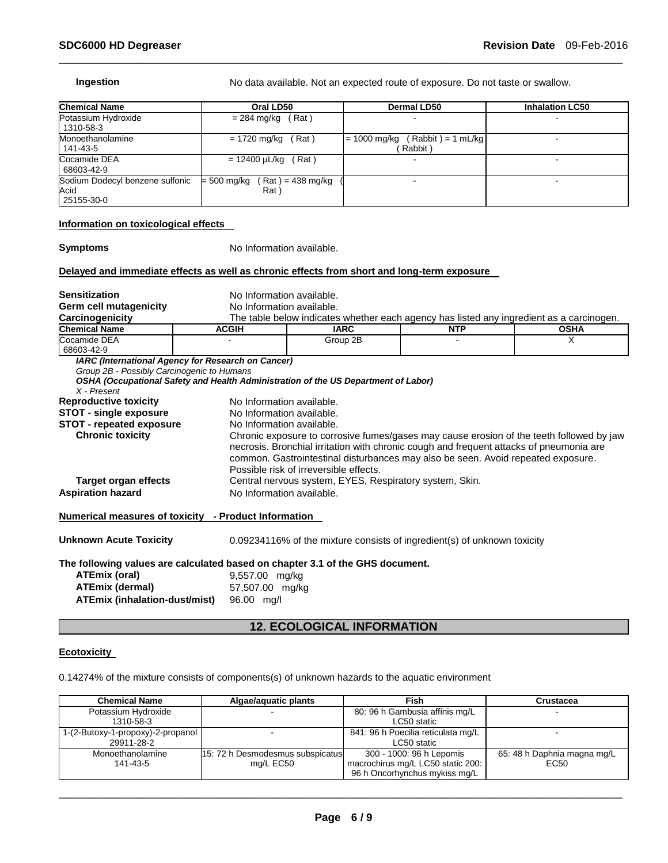| <b>Chemical Name</b>                                  | Oral LD50                                  | <b>Dermal LD50</b>                                | <b>Inhalation LC50</b> |
|-------------------------------------------------------|--------------------------------------------|---------------------------------------------------|------------------------|
| Potassium Hydroxide<br>1310-58-3                      | (Rat)<br>= 284 mg/kg                       |                                                   |                        |
| Monoethanolamine<br>141-43-5                          | = 1720 mg/kg<br>Rat)                       | $(Rabbit) = 1 mL/kg$<br>$= 1000$ mg/kg<br>Rabbit) |                        |
| Cocamide DEA<br>68603-42-9                            | = 12400 µL/kg<br>(Rat)                     |                                                   |                        |
| Sodium Dodecyl benzene sulfonic<br>Acid<br>25155-30-0 | $= 500$ mg/kg<br>$Rat$ = 438 mg/kg<br>Rat) |                                                   |                        |

### **Information on toxicological effects**

**Symptoms** No Information available.

# **Delayed and immediate effects as well as chronic effects from short and long-term exposure**

| <b>Sensitization</b>                                                                                                                                             | No Information available.                          |                                                                                                                                                                                                                       |            |                                                                                          |  |
|------------------------------------------------------------------------------------------------------------------------------------------------------------------|----------------------------------------------------|-----------------------------------------------------------------------------------------------------------------------------------------------------------------------------------------------------------------------|------------|------------------------------------------------------------------------------------------|--|
| <b>Germ cell mutagenicity</b>                                                                                                                                    | No Information available.                          |                                                                                                                                                                                                                       |            |                                                                                          |  |
| Carcinogenicity                                                                                                                                                  |                                                    |                                                                                                                                                                                                                       |            | The table below indicates whether each agency has listed any ingredient as a carcinogen. |  |
| <b>Chemical Name</b>                                                                                                                                             | <b>ACGIH</b>                                       | <b>IARC</b>                                                                                                                                                                                                           | <b>NTP</b> | <b>OSHA</b>                                                                              |  |
| Cocamide DEA<br>68603-42-9                                                                                                                                       |                                                    | Group 2B                                                                                                                                                                                                              |            | X                                                                                        |  |
| Group 2B - Possibly Carcinogenic to Humans                                                                                                                       | IARC (International Agency for Research on Cancer) |                                                                                                                                                                                                                       |            |                                                                                          |  |
|                                                                                                                                                                  |                                                    | OSHA (Occupational Safety and Health Administration of the US Department of Labor)                                                                                                                                    |            |                                                                                          |  |
| $X$ - Present                                                                                                                                                    |                                                    |                                                                                                                                                                                                                       |            |                                                                                          |  |
| <b>Reproductive toxicity</b>                                                                                                                                     | No Information available.                          |                                                                                                                                                                                                                       |            |                                                                                          |  |
| <b>STOT - single exposure</b>                                                                                                                                    | No Information available.                          |                                                                                                                                                                                                                       |            |                                                                                          |  |
| <b>STOT - repeated exposure</b>                                                                                                                                  | No Information available.                          |                                                                                                                                                                                                                       |            |                                                                                          |  |
| <b>Chronic toxicity</b>                                                                                                                                          |                                                    | necrosis. Bronchial irritation with chronic cough and frequent attacks of pneumonia are<br>common. Gastrointestinal disturbances may also be seen. Avoid repeated exposure.<br>Possible risk of irreversible effects. |            | Chronic exposure to corrosive fumes/gases may cause erosion of the teeth followed by jaw |  |
| <b>Target organ effects</b>                                                                                                                                      |                                                    | Central nervous system, EYES, Respiratory system, Skin.                                                                                                                                                               |            |                                                                                          |  |
| <b>Aspiration hazard</b>                                                                                                                                         |                                                    | No Information available.                                                                                                                                                                                             |            |                                                                                          |  |
| <u><b>Numerical measures of toxicity - Product Information</b></u>                                                                                               |                                                    |                                                                                                                                                                                                                       |            |                                                                                          |  |
| <b>Unknown Acute Toxicity</b>                                                                                                                                    |                                                    | $0.09234116\%$ of the mixture consists of ingredient(s) of unknown toxicity                                                                                                                                           |            |                                                                                          |  |
| The following values are calculated based on chapter 3.1 of the GHS document.<br>ATEmix (oral)<br><b>ATEmix (dermal)</b><br><b>ATEmix (inhalation-dust/mist)</b> | 9,557.00 mg/kg<br>57,507.00 mg/kg<br>96.00 mg/l    |                                                                                                                                                                                                                       |            |                                                                                          |  |

# **12. ECOLOGICAL INFORMATION**

### **Ecotoxicity**

0.14274% of the mixture consists of components(s) of unknown hazards to the aquatic environment

| <b>Chemical Name</b>              | Algae/aguatic plants             | Fish                               | Crustacea                   |
|-----------------------------------|----------------------------------|------------------------------------|-----------------------------|
| Potassium Hydroxide               |                                  | 80: 96 h Gambusia affinis mg/L     |                             |
| 1310-58-3                         |                                  | LC50 static                        |                             |
| 1-(2-Butoxy-1-propoxy)-2-propanol |                                  | 841: 96 h Poecilia reticulata mg/L |                             |
| 29911-28-2                        |                                  | LC50 static                        |                             |
| Monoethanolamine                  | 15: 72 h Desmodesmus subspicatus | 300 - 1000: 96 h Lepomis           | 65: 48 h Daphnia magna mg/L |
| 141-43-5                          | mg/L EC50                        | macrochirus mg/L LC50 static 200:  | EC <sub>50</sub>            |
|                                   |                                  | 96 h Oncorhynchus mykiss mg/L      |                             |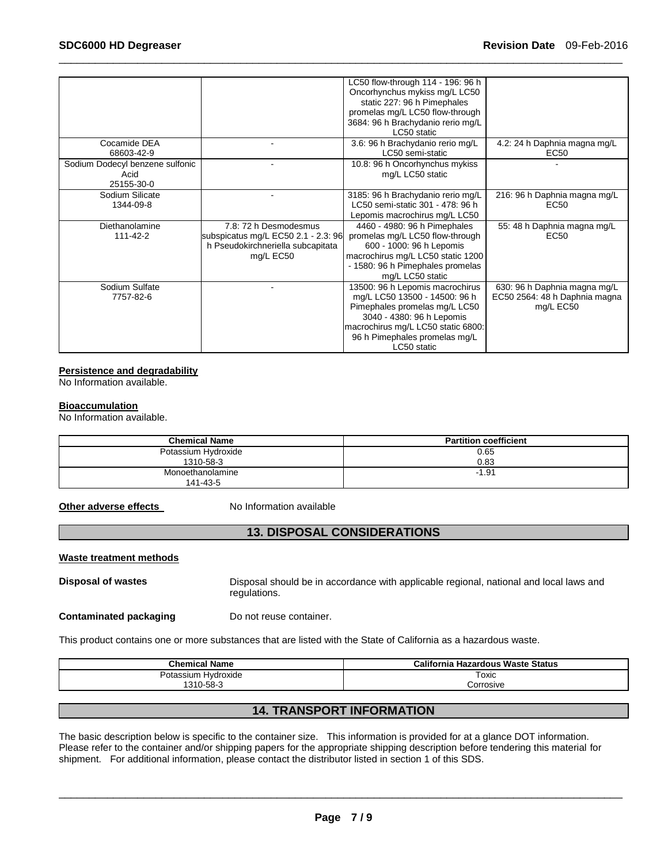|                                 |                                     | LC50 flow-through 114 - 196: 96 h  |                               |
|---------------------------------|-------------------------------------|------------------------------------|-------------------------------|
|                                 |                                     | Oncorhynchus mykiss mg/L LC50      |                               |
|                                 |                                     | static 227: 96 h Pimephales        |                               |
|                                 |                                     | promelas mg/L LC50 flow-through    |                               |
|                                 |                                     | 3684: 96 h Brachydanio rerio mg/L  |                               |
|                                 |                                     | LC50 static                        |                               |
| Cocamide DEA                    |                                     | 3.6: 96 h Brachydanio rerio mg/L   | 4.2: 24 h Daphnia magna mg/L  |
| 68603-42-9                      |                                     | LC50 semi-static                   | EC50                          |
| Sodium Dodecyl benzene sulfonic |                                     | 10.8: 96 h Oncorhynchus mykiss     |                               |
| Acid                            |                                     | mg/L LC50 static                   |                               |
| 25155-30-0                      |                                     |                                    |                               |
| Sodium Silicate                 |                                     | 3185: 96 h Brachydanio rerio mg/L  | 216: 96 h Daphnia magna mg/L  |
| 1344-09-8                       |                                     | LC50 semi-static 301 - 478: 96 h   | EC50                          |
|                                 |                                     | Lepomis macrochirus mg/L LC50      |                               |
| Diethanolamine                  | 7.8: 72 h Desmodesmus               | 4460 - 4980: 96 h Pimephales       | 55: 48 h Daphnia magna mg/L   |
| 111-42-2                        | subspicatus mg/L EC50 2.1 - 2.3: 96 | promelas mg/L LC50 flow-through    | EC50                          |
|                                 | h Pseudokirchneriella subcapitata   | 600 - 1000: 96 h Lepomis           |                               |
|                                 | mg/L EC50                           | macrochirus mg/L LC50 static 1200  |                               |
|                                 |                                     | - 1580: 96 h Pimephales promelas   |                               |
|                                 |                                     | mg/L LC50 static                   |                               |
| Sodium Sulfate                  |                                     | 13500: 96 h Lepomis macrochirus    | 630: 96 h Daphnia magna mg/L  |
| 7757-82-6                       |                                     | mg/L LC50 13500 - 14500: 96 h      | EC50 2564: 48 h Daphnia magna |
|                                 |                                     | Pimephales promelas mg/L LC50      | mg/L EC50                     |
|                                 |                                     | 3040 - 4380: 96 h Lepomis          |                               |
|                                 |                                     | macrochirus mg/L LC50 static 6800: |                               |
|                                 |                                     | 96 h Pimephales promelas mg/L      |                               |
|                                 |                                     | LC50 static                        |                               |

### **Persistence and degradability**

No Information available.

### **Bioaccumulation**

No Information available.

| <b>Chemical Name</b> | <b>Partition coefficient</b> |
|----------------------|------------------------------|
| Potassium Hydroxide  | 0.65                         |
| 1310-58-3            | 0.83                         |
| Monoethanolamine     | $-1.91$                      |
| 141-43-5             |                              |

**Other adverse effects** No Information available

# **13. DISPOSAL CONSIDERATIONS**

### **Waste treatment methods**

**Disposal of wastes** Disposal should be in accordance with applicable regional, national and local laws and regulations.

**Contaminated packaging by Do not reuse container.** 

This product contains one or more substances that are listed with the State of California as a hazardous waste.

| <b>Chemical Name</b> | <b>California Hazardous Waste Status</b> |
|----------------------|------------------------------------------|
| Potassium Hydroxide  | Toxic                                    |
| 1310-58-3            | Corrosive                                |
|                      |                                          |

# **14. TRANSPORT INFORMATION**

The basic description below is specific to the container size. This information is provided for at a glance DOT information. Please refer to the container and/or shipping papers for the appropriate shipping description before tendering this material for shipment. For additional information, please contact the distributor listed in section 1 of this SDS.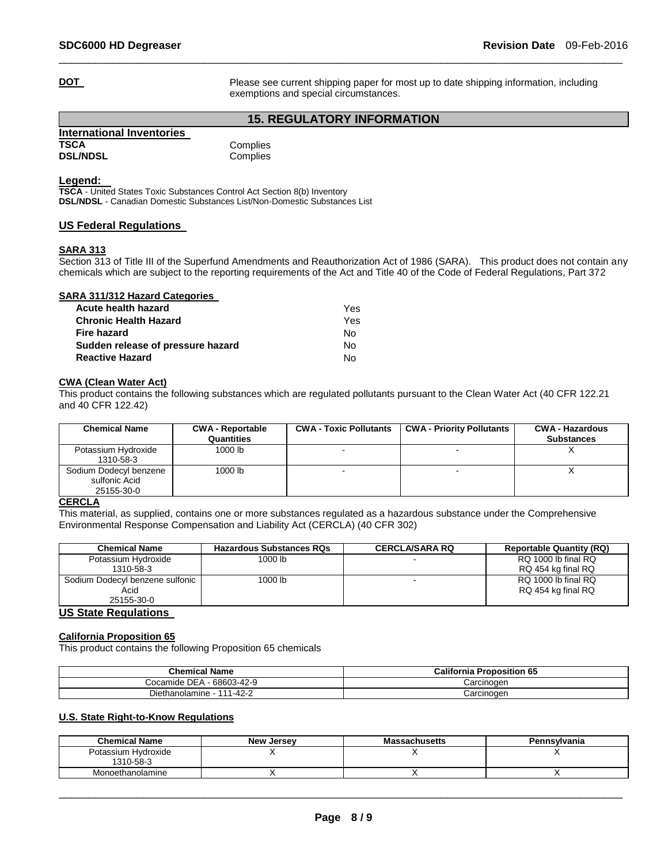**DOT Please see current shipping paper for most up to date shipping information, including** exemptions and special circumstances.

# **15. REGULATORY INFORMATION**

\_\_\_\_\_\_\_\_\_\_\_\_\_\_\_\_\_\_\_\_\_\_\_\_\_\_\_\_\_\_\_\_\_\_\_\_\_\_\_\_\_\_\_\_\_\_\_\_\_\_\_\_\_\_\_\_\_\_\_\_\_\_\_\_\_\_\_\_\_\_\_\_\_\_\_\_\_\_\_\_\_\_\_\_\_\_\_\_\_\_\_\_\_

| International Inventories |          |
|---------------------------|----------|
| <b>TSCA</b>               | Complies |
| <b>DSL/NDSL</b>           | Complies |

### **Legend:**

**TSCA** - United States Toxic Substances Control Act Section 8(b) Inventory **DSL/NDSL** - Canadian Domestic Substances List/Non-Domestic Substances List

### **US Federal Regulations**

### **SARA 313**

Section 313 of Title III of the Superfund Amendments and Reauthorization Act of 1986 (SARA). This product does not contain any chemicals which are subject to the reporting requirements of the Act and Title 40 of the Code of Federal Regulations, Part 372

### **SARA 311/312 Hazard Categories**

| Acute health hazard               | Yes. |
|-----------------------------------|------|
| Chronic Health Hazard             | Yes  |
| Fire hazard                       | N٥   |
| Sudden release of pressure hazard | N٥   |
| <b>Reactive Hazard</b>            | N٥   |

### **CWA (Clean Water Act)**

This product contains the following substances which are regulated pollutants pursuant to the Clean Water Act (40 CFR 122.21 and 40 CFR 122.42)

| <b>Chemical Name</b>                                  | <b>CWA - Reportable</b><br>Quantities | <b>CWA - Toxic Pollutants</b> | <b>CWA - Priority Pollutants</b> | <b>CWA - Hazardous</b><br><b>Substances</b> |
|-------------------------------------------------------|---------------------------------------|-------------------------------|----------------------------------|---------------------------------------------|
| Potassium Hydroxide<br>1310-58-3                      | 1000 lb                               | $\overline{\phantom{a}}$      |                                  |                                             |
| Sodium Dodecyl benzene<br>sulfonic Acid<br>25155-30-0 | 1000 lb                               |                               |                                  |                                             |

### **CERCLA**

This material, as supplied, contains one or more substances regulated as a hazardous substance under the Comprehensive Environmental Response Compensation and Liability Act (CERCLA) (40 CFR 302)

| <b>Chemical Name</b>              | <b>Hazardous Substances RQs</b> | <b>CERCLA/SARA RQ</b> | <b>Reportable Quantity (RQ)</b> |
|-----------------------------------|---------------------------------|-----------------------|---------------------------------|
| Potassium Hydroxide               | 1000 lb                         |                       | RQ 1000 lb final RQ             |
| 1310-58-3                         |                                 |                       | RQ 454 kg final RQ              |
| Sodium Dodecyl benzene sulfonic   | 1000 lb                         |                       | RQ 1000 lb final RQ             |
| Acid                              |                                 |                       | RQ 454 kg final RQ              |
| 25155-30-0                        |                                 |                       |                                 |
| $\mathbf{110.01}$ $\mathbf{0.11}$ |                                 |                       |                                 |

### **US State Regulations**

### **California Proposition 65**

This product contains the following Proposition 65 chemicals

| <b>Chemical Name</b>                | <b>California Proposition</b><br>ւ 65 |
|-------------------------------------|---------------------------------------|
| Cocamide DEA<br>68603-42-9          | Carcinoɑen                            |
| 1-42-2<br>444<br>Diethanolamine - 1 | Carcinoɑen                            |

# **U.S. State Right-to-Know Regulations**

| <b>Chemical Name</b>             | <b>New Jersey</b> | <b>Massachusetts</b> | Pennsylvania |
|----------------------------------|-------------------|----------------------|--------------|
| Potassium Hydroxide<br>1310-58-3 |                   |                      |              |
| Monoethanolamine                 |                   |                      |              |